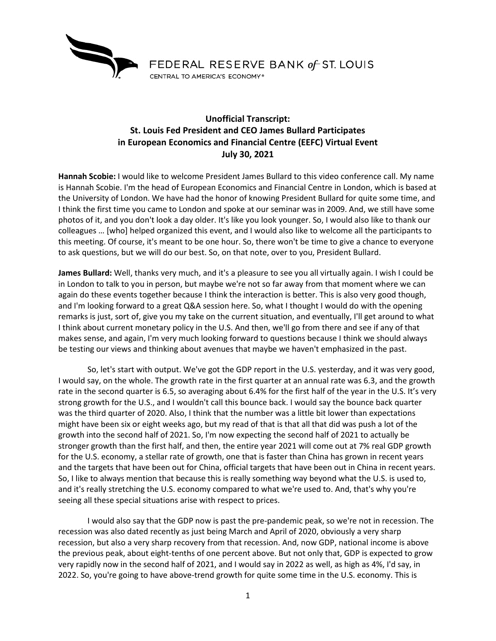

## **Unofficial Transcript: St. Louis Fed President and CEO James Bullard Participates in European Economics and Financial Centre (EEFC) Virtual Event July 30, 2021**

**Hannah Scobie:** I would like to welcome President James Bullard to this video conference call. My name is Hannah Scobie. I'm the head of European Economics and Financial Centre in London, which is based at the University of London. We have had the honor of knowing President Bullard for quite some time, and I think the first time you came to London and spoke at our seminar was in 2009. And, we still have some photos of it, and you don't look a day older. It's like you look younger. So, I would also like to thank our colleagues … [who] helped organized this event, and I would also like to welcome all the participants to this meeting. Of course, it's meant to be one hour. So, there won't be time to give a chance to everyone to ask questions, but we will do our best. So, on that note, over to you, President Bullard.

**James Bullard:** Well, thanks very much, and it's a pleasure to see you all virtually again. I wish I could be in London to talk to you in person, but maybe we're not so far away from that moment where we can again do these events together because I think the interaction is better. This is also very good though, and I'm looking forward to a great Q&A session here. So, what I thought I would do with the opening remarks is just, sort of, give you my take on the current situation, and eventually, I'll get around to what I think about current monetary policy in the U.S. And then, we'll go from there and see if any of that makes sense, and again, I'm very much looking forward to questions because I think we should always be testing our views and thinking about avenues that maybe we haven't emphasized in the past.

So, let's start with output. We've got the GDP report in the U.S. yesterday, and it was very good, I would say, on the whole. The growth rate in the first quarter at an annual rate was 6.3, and the growth rate in the second quarter is 6.5, so averaging about 6.4% for the first half of the year in the U.S. It's very strong growth for the U.S., and I wouldn't call this bounce back. I would say the bounce back quarter was the third quarter of 2020. Also, I think that the number was a little bit lower than expectations might have been six or eight weeks ago, but my read of that is that all that did was push a lot of the growth into the second half of 2021. So, I'm now expecting the second half of 2021 to actually be stronger growth than the first half, and then, the entire year 2021 will come out at 7% real GDP growth for the U.S. economy, a stellar rate of growth, one that is faster than China has grown in recent years and the targets that have been out for China, official targets that have been out in China in recent years. So, I like to always mention that because this is really something way beyond what the U.S. is used to, and it's really stretching the U.S. economy compared to what we're used to. And, that's why you're seeing all these special situations arise with respect to prices.

I would also say that the GDP now is past the pre-pandemic peak, so we're not in recession. The recession was also dated recently as just being March and April of 2020, obviously a very sharp recession, but also a very sharp recovery from that recession. And, now GDP, national income is above the previous peak, about eight-tenths of one percent above. But not only that, GDP is expected to grow very rapidly now in the second half of 2021, and I would say in 2022 as well, as high as 4%, I'd say, in 2022. So, you're going to have above-trend growth for quite some time in the U.S. economy. This is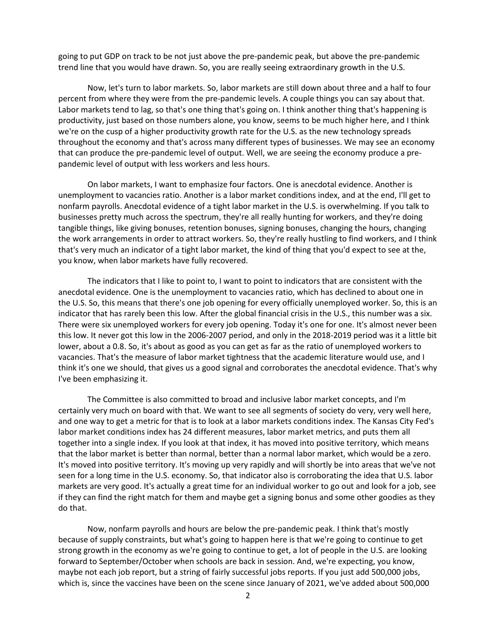going to put GDP on track to be not just above the pre-pandemic peak, but above the pre-pandemic trend line that you would have drawn. So, you are really seeing extraordinary growth in the U.S.

Now, let's turn to labor markets. So, labor markets are still down about three and a half to four percent from where they were from the pre-pandemic levels. A couple things you can say about that. Labor markets tend to lag, so that's one thing that's going on. I think another thing that's happening is productivity, just based on those numbers alone, you know, seems to be much higher here, and I think we're on the cusp of a higher productivity growth rate for the U.S. as the new technology spreads throughout the economy and that's across many different types of businesses. We may see an economy that can produce the pre-pandemic level of output. Well, we are seeing the economy produce a prepandemic level of output with less workers and less hours.

On labor markets, I want to emphasize four factors. One is anecdotal evidence. Another is unemployment to vacancies ratio. Another is a labor market conditions index, and at the end, I'll get to nonfarm payrolls. Anecdotal evidence of a tight labor market in the U.S. is overwhelming. If you talk to businesses pretty much across the spectrum, they're all really hunting for workers, and they're doing tangible things, like giving bonuses, retention bonuses, signing bonuses, changing the hours, changing the work arrangements in order to attract workers. So, they're really hustling to find workers, and I think that's very much an indicator of a tight labor market, the kind of thing that you'd expect to see at the, you know, when labor markets have fully recovered.

The indicators that I like to point to, I want to point to indicators that are consistent with the anecdotal evidence. One is the unemployment to vacancies ratio, which has declined to about one in the U.S. So, this means that there's one job opening for every officially unemployed worker. So, this is an indicator that has rarely been this low. After the global financial crisis in the U.S., this number was a six. There were six unemployed workers for every job opening. Today it's one for one. It's almost never been this low. It never got this low in the 2006-2007 period, and only in the 2018-2019 period was it a little bit lower, about a 0.8. So, it's about as good as you can get as far as the ratio of unemployed workers to vacancies. That's the measure of labor market tightness that the academic literature would use, and I think it's one we should, that gives us a good signal and corroborates the anecdotal evidence. That's why I've been emphasizing it.

The Committee is also committed to broad and inclusive labor market concepts, and I'm certainly very much on board with that. We want to see all segments of society do very, very well here, and one way to get a metric for that is to look at a labor markets conditions index. The Kansas City Fed's labor market conditions index has 24 different measures, labor market metrics, and puts them all together into a single index. If you look at that index, it has moved into positive territory, which means that the labor market is better than normal, better than a normal labor market, which would be a zero. It's moved into positive territory. It's moving up very rapidly and will shortly be into areas that we've not seen for a long time in the U.S. economy. So, that indicator also is corroborating the idea that U.S. labor markets are very good. It's actually a great time for an individual worker to go out and look for a job, see if they can find the right match for them and maybe get a signing bonus and some other goodies as they do that.

Now, nonfarm payrolls and hours are below the pre-pandemic peak. I think that's mostly because of supply constraints, but what's going to happen here is that we're going to continue to get strong growth in the economy as we're going to continue to get, a lot of people in the U.S. are looking forward to September/October when schools are back in session. And, we're expecting, you know, maybe not each job report, but a string of fairly successful jobs reports. If you just add 500,000 jobs, which is, since the vaccines have been on the scene since January of 2021, we've added about 500,000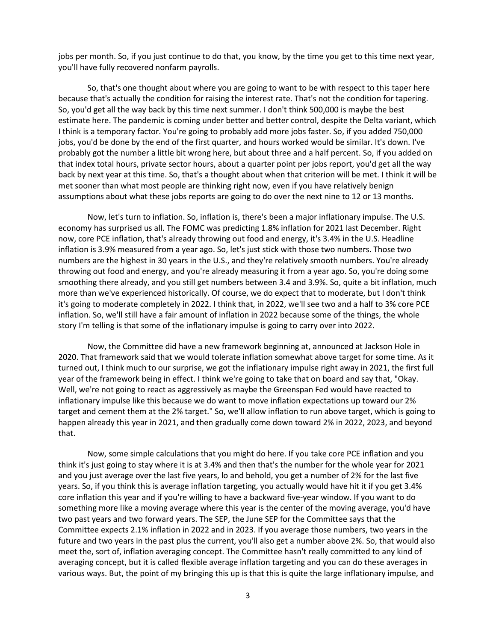jobs per month. So, if you just continue to do that, you know, by the time you get to this time next year, you'll have fully recovered nonfarm payrolls.

So, that's one thought about where you are going to want to be with respect to this taper here because that's actually the condition for raising the interest rate. That's not the condition for tapering. So, you'd get all the way back by this time next summer. I don't think 500,000 is maybe the best estimate here. The pandemic is coming under better and better control, despite the Delta variant, which I think is a temporary factor. You're going to probably add more jobs faster. So, if you added 750,000 jobs, you'd be done by the end of the first quarter, and hours worked would be similar. It's down. I've probably got the number a little bit wrong here, but about three and a half percent. So, if you added on that index total hours, private sector hours, about a quarter point per jobs report, you'd get all the way back by next year at this time. So, that's a thought about when that criterion will be met. I think it will be met sooner than what most people are thinking right now, even if you have relatively benign assumptions about what these jobs reports are going to do over the next nine to 12 or 13 months.

Now, let's turn to inflation. So, inflation is, there's been a major inflationary impulse. The U.S. economy has surprised us all. The FOMC was predicting 1.8% inflation for 2021 last December. Right now, core PCE inflation, that's already throwing out food and energy, it's 3.4% in the U.S. Headline inflation is 3.9% measured from a year ago. So, let's just stick with those two numbers. Those two numbers are the highest in 30 years in the U.S., and they're relatively smooth numbers. You're already throwing out food and energy, and you're already measuring it from a year ago. So, you're doing some smoothing there already, and you still get numbers between 3.4 and 3.9%. So, quite a bit inflation, much more than we've experienced historically. Of course, we do expect that to moderate, but I don't think it's going to moderate completely in 2022. I think that, in 2022, we'll see two and a half to 3% core PCE inflation. So, we'll still have a fair amount of inflation in 2022 because some of the things, the whole story I'm telling is that some of the inflationary impulse is going to carry over into 2022.

Now, the Committee did have a new framework beginning at, announced at Jackson Hole in 2020. That framework said that we would tolerate inflation somewhat above target for some time. As it turned out, I think much to our surprise, we got the inflationary impulse right away in 2021, the first full year of the framework being in effect. I think we're going to take that on board and say that, "Okay. Well, we're not going to react as aggressively as maybe the Greenspan Fed would have reacted to inflationary impulse like this because we do want to move inflation expectations up toward our 2% target and cement them at the 2% target." So, we'll allow inflation to run above target, which is going to happen already this year in 2021, and then gradually come down toward 2% in 2022, 2023, and beyond that.

Now, some simple calculations that you might do here. If you take core PCE inflation and you think it's just going to stay where it is at 3.4% and then that's the number for the whole year for 2021 and you just average over the last five years, lo and behold, you get a number of 2% for the last five years. So, if you think this is average inflation targeting, you actually would have hit it if you get 3.4% core inflation this year and if you're willing to have a backward five-year window. If you want to do something more like a moving average where this year is the center of the moving average, you'd have two past years and two forward years. The SEP, the June SEP for the Committee says that the Committee expects 2.1% inflation in 2022 and in 2023. If you average those numbers, two years in the future and two years in the past plus the current, you'll also get a number above 2%. So, that would also meet the, sort of, inflation averaging concept. The Committee hasn't really committed to any kind of averaging concept, but it is called flexible average inflation targeting and you can do these averages in various ways. But, the point of my bringing this up is that this is quite the large inflationary impulse, and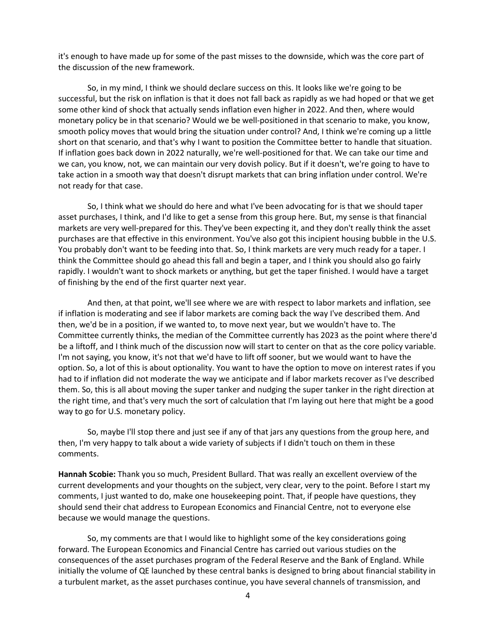it's enough to have made up for some of the past misses to the downside, which was the core part of the discussion of the new framework.

So, in my mind, I think we should declare success on this. It looks like we're going to be successful, but the risk on inflation is that it does not fall back as rapidly as we had hoped or that we get some other kind of shock that actually sends inflation even higher in 2022. And then, where would monetary policy be in that scenario? Would we be well-positioned in that scenario to make, you know, smooth policy moves that would bring the situation under control? And, I think we're coming up a little short on that scenario, and that's why I want to position the Committee better to handle that situation. If inflation goes back down in 2022 naturally, we're well-positioned for that. We can take our time and we can, you know, not, we can maintain our very dovish policy. But if it doesn't, we're going to have to take action in a smooth way that doesn't disrupt markets that can bring inflation under control. We're not ready for that case.

So, I think what we should do here and what I've been advocating for is that we should taper asset purchases, I think, and I'd like to get a sense from this group here. But, my sense is that financial markets are very well-prepared for this. They've been expecting it, and they don't really think the asset purchases are that effective in this environment. You've also got this incipient housing bubble in the U.S. You probably don't want to be feeding into that. So, I think markets are very much ready for a taper. I think the Committee should go ahead this fall and begin a taper, and I think you should also go fairly rapidly. I wouldn't want to shock markets or anything, but get the taper finished. I would have a target of finishing by the end of the first quarter next year.

And then, at that point, we'll see where we are with respect to labor markets and inflation, see if inflation is moderating and see if labor markets are coming back the way I've described them. And then, we'd be in a position, if we wanted to, to move next year, but we wouldn't have to. The Committee currently thinks, the median of the Committee currently has 2023 as the point where there'd be a liftoff, and I think much of the discussion now will start to center on that as the core policy variable. I'm not saying, you know, it's not that we'd have to lift off sooner, but we would want to have the option. So, a lot of this is about optionality. You want to have the option to move on interest rates if you had to if inflation did not moderate the way we anticipate and if labor markets recover as I've described them. So, this is all about moving the super tanker and nudging the super tanker in the right direction at the right time, and that's very much the sort of calculation that I'm laying out here that might be a good way to go for U.S. monetary policy.

So, maybe I'll stop there and just see if any of that jars any questions from the group here, and then, I'm very happy to talk about a wide variety of subjects if I didn't touch on them in these comments.

**Hannah Scobie:** Thank you so much, President Bullard. That was really an excellent overview of the current developments and your thoughts on the subject, very clear, very to the point. Before I start my comments, I just wanted to do, make one housekeeping point. That, if people have questions, they should send their chat address to European Economics and Financial Centre, not to everyone else because we would manage the questions.

So, my comments are that I would like to highlight some of the key considerations going forward. The European Economics and Financial Centre has carried out various studies on the consequences of the asset purchases program of the Federal Reserve and the Bank of England. While initially the volume of QE launched by these central banks is designed to bring about financial stability in a turbulent market, as the asset purchases continue, you have several channels of transmission, and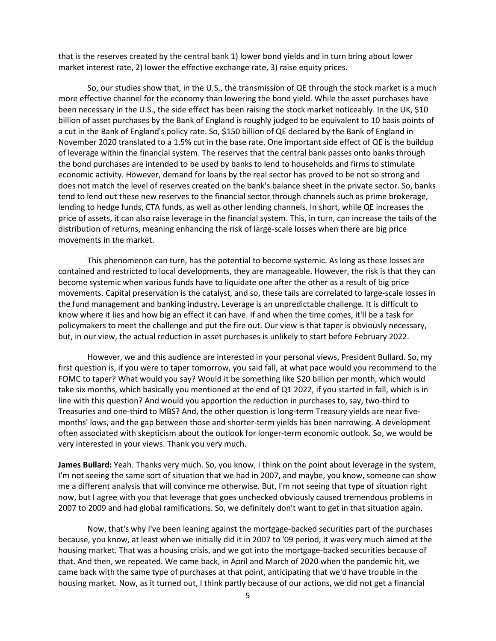that is the reserves created by the central bank 1) lower bond yields and in turn bring about lower market interest rate, 2) lower the effective exchange rate, 3) raise equity prices.

So, our studies show that, in the U.S., the transmission of QE through the stock market is a much more effective channel for the economy than lowering the bond yield. While the asset purchases have been necessary in the U.S., the side effect has been raising the stock market noticeably. In the UK, \$10 billion of asset purchases by the Bank of England is roughly judged to be equivalent to 10 basis points of a cut in the Bank of England's policy rate. So, \$150 billion of QE declared by the Bank of England in November 2020 translated to a 1.5% cut in the base rate. One important side effect of QE is the buildup of leverage within the financial system. The reserves that the central bank passes onto banks through the bond purchases are intended to be used by banks to lend to households and firms to stimulate economic activity. However, demand for loans by the real sector has proved to be not so strong and does not match the level of reserves created on the bank's balance sheet in the private sector. So, banks tend to lend out these new reserves to the financial sector through channels such as prime brokerage, lending to hedge funds, CTA funds, as well as other lending channels. In short, while QE increases the price of assets, it can also raise leverage in the financial system. This, in turn, can increase the tails of the distribution of returns, meaning enhancing the risk of large-scale losses when there are big price movements in the market.

This phenomenon can turn, has the potential to become systemic. As long as these losses are contained and restricted to local developments, they are manageable. However, the risk is that they can become systemic when various funds have to liquidate one after the other as a result of big price movements. Capital preservation is the catalyst, and so, these tails are correlated to large-scale losses in the fund management and banking industry. Leverage is an unpredictable challenge. It is difficult to know where it lies and how big an effect it can have. If and when the time comes, it'll be a task for policymakers to meet the challenge and put the fire out. Our view is that taper is obviously necessary, but, in our view, the actual reduction in asset purchases is unlikely to start before February 2022.

However, we and this audience are interested in your personal views, President Bullard. So, my first question is, if you were to taper tomorrow, you said fall, at what pace would you recommend to the FOMC to taper? What would you say? Would it be something like \$20 billion per month, which would take six months, which basically you mentioned at the end of Q1 2022, if you started in fall, which is in line with this question? And would you apportion the reduction in purchases to, say, two-third to Treasuries and one-third to MBS? And, the other question is long-term Treasury yields are near fivemonths' lows, and the gap between those and shorter-term yields has been narrowing. A development often associated with skepticism about the outlook for longer-term economic outlook. So, we would be very interested in your views. Thank you very much.

**James Bullard:** Yeah. Thanks very much. So, you know, I think on the point about leverage in the system, I'm not seeing the same sort of situation that we had in 2007, and maybe, you know, someone can show me a different analysis that will convince me otherwise. But, I'm not seeing that type of situation right now, but I agree with you that leverage that goes unchecked obviously caused tremendous problems in 2007 to 2009 and had global ramifications. So, we definitely don't want to get in that situation again.

Now, that's why I've been leaning against the mortgage-backed securities part of the purchases because, you know, at least when we initially did it in 2007 to '09 period, it was very much aimed at the housing market. That was a housing crisis, and we got into the mortgage-backed securities because of that. And then, we repeated. We came back, in April and March of 2020 when the pandemic hit, we came back with the same type of purchases at that point, anticipating that we'd have trouble in the housing market. Now, as it turned out, I think partly because of our actions, we did not get a financial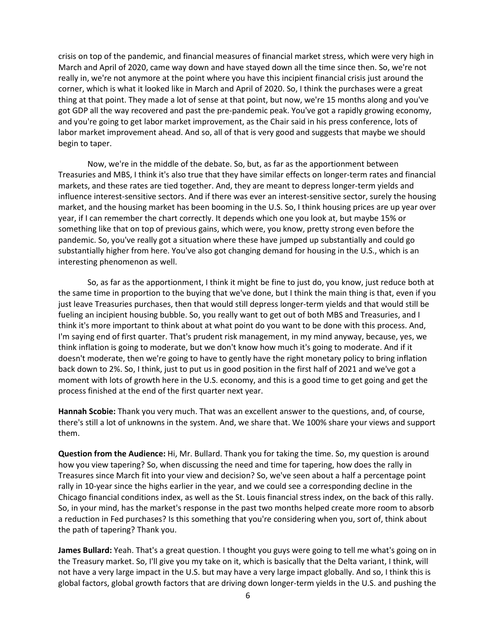crisis on top of the pandemic, and financial measures of financial market stress, which were very high in March and April of 2020, came way down and have stayed down all the time since then. So, we're not really in, we're not anymore at the point where you have this incipient financial crisis just around the corner, which is what it looked like in March and April of 2020. So, I think the purchases were a great thing at that point. They made a lot of sense at that point, but now, we're 15 months along and you've got GDP all the way recovered and past the pre-pandemic peak. You've got a rapidly growing economy, and you're going to get labor market improvement, as the Chair said in his press conference, lots of labor market improvement ahead. And so, all of that is very good and suggests that maybe we should begin to taper.

Now, we're in the middle of the debate. So, but, as far as the apportionment between Treasuries and MBS, I think it's also true that they have similar effects on longer-term rates and financial markets, and these rates are tied together. And, they are meant to depress longer-term yields and influence interest-sensitive sectors. And if there was ever an interest-sensitive sector, surely the housing market, and the housing market has been booming in the U.S. So, I think housing prices are up year over year, if I can remember the chart correctly. It depends which one you look at, but maybe 15% or something like that on top of previous gains, which were, you know, pretty strong even before the pandemic. So, you've really got a situation where these have jumped up substantially and could go substantially higher from here. You've also got changing demand for housing in the U.S., which is an interesting phenomenon as well.

So, as far as the apportionment, I think it might be fine to just do, you know, just reduce both at the same time in proportion to the buying that we've done, but I think the main thing is that, even if you just leave Treasuries purchases, then that would still depress longer-term yields and that would still be fueling an incipient housing bubble. So, you really want to get out of both MBS and Treasuries, and I think it's more important to think about at what point do you want to be done with this process. And, I'm saying end of first quarter. That's prudent risk management, in my mind anyway, because, yes, we think inflation is going to moderate, but we don't know how much it's going to moderate. And if it doesn't moderate, then we're going to have to gently have the right monetary policy to bring inflation back down to 2%. So, I think, just to put us in good position in the first half of 2021 and we've got a moment with lots of growth here in the U.S. economy, and this is a good time to get going and get the process finished at the end of the first quarter next year.

**Hannah Scobie:** Thank you very much. That was an excellent answer to the questions, and, of course, there's still a lot of unknowns in the system. And, we share that. We 100% share your views and support them.

**Question from the Audience:** Hi, Mr. Bullard. Thank you for taking the time. So, my question is around how you view tapering? So, when discussing the need and time for tapering, how does the rally in Treasures since March fit into your view and decision? So, we've seen about a half a percentage point rally in 10-year since the highs earlier in the year, and we could see a corresponding decline in the Chicago financial conditions index, as well as the St. Louis financial stress index, on the back of this rally. So, in your mind, has the market's response in the past two months helped create more room to absorb a reduction in Fed purchases? Is this something that you're considering when you, sort of, think about the path of tapering? Thank you.

**James Bullard:** Yeah. That's a great question. I thought you guys were going to tell me what's going on in the Treasury market. So, I'll give you my take on it, which is basically that the Delta variant, I think, will not have a very large impact in the U.S. but may have a very large impact globally. And so, I think this is global factors, global growth factors that are driving down longer-term yields in the U.S. and pushing the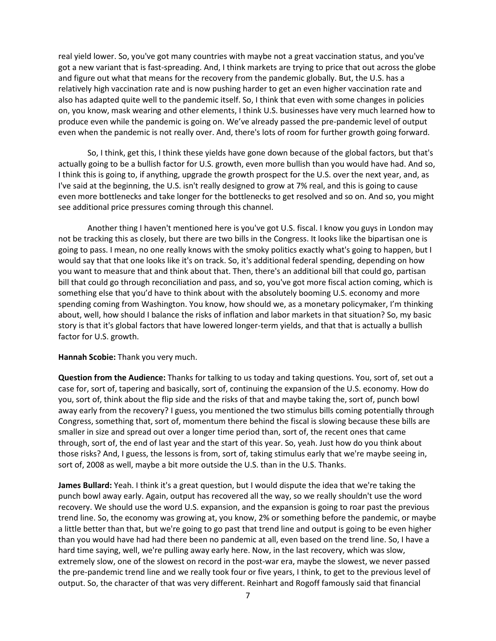real yield lower. So, you've got many countries with maybe not a great vaccination status, and you've got a new variant that is fast-spreading. And, I think markets are trying to price that out across the globe and figure out what that means for the recovery from the pandemic globally. But, the U.S. has a relatively high vaccination rate and is now pushing harder to get an even higher vaccination rate and also has adapted quite well to the pandemic itself. So, I think that even with some changes in policies on, you know, mask wearing and other elements, I think U.S. businesses have very much learned how to produce even while the pandemic is going on. We've already passed the pre-pandemic level of output even when the pandemic is not really over. And, there's lots of room for further growth going forward.

So, I think, get this, I think these yields have gone down because of the global factors, but that's actually going to be a bullish factor for U.S. growth, even more bullish than you would have had. And so, I think this is going to, if anything, upgrade the growth prospect for the U.S. over the next year, and, as I've said at the beginning, the U.S. isn't really designed to grow at 7% real, and this is going to cause even more bottlenecks and take longer for the bottlenecks to get resolved and so on. And so, you might see additional price pressures coming through this channel.

Another thing I haven't mentioned here is you've got U.S. fiscal. I know you guys in London may not be tracking this as closely, but there are two bills in the Congress. It looks like the bipartisan one is going to pass. I mean, no one really knows with the smoky politics exactly what's going to happen, but I would say that that one looks like it's on track. So, it's additional federal spending, depending on how you want to measure that and think about that. Then, there's an additional bill that could go, partisan bill that could go through reconciliation and pass, and so, you've got more fiscal action coming, which is something else that you'd have to think about with the absolutely booming U.S. economy and more spending coming from Washington. You know, how should we, as a monetary policymaker, I'm thinking about, well, how should I balance the risks of inflation and labor markets in that situation? So, my basic story is that it's global factors that have lowered longer-term yields, and that that is actually a bullish factor for U.S. growth.

## **Hannah Scobie:** Thank you very much.

**Question from the Audience:** Thanks for talking to us today and taking questions. You, sort of, set out a case for, sort of, tapering and basically, sort of, continuing the expansion of the U.S. economy. How do you, sort of, think about the flip side and the risks of that and maybe taking the, sort of, punch bowl away early from the recovery? I guess, you mentioned the two stimulus bills coming potentially through Congress, something that, sort of, momentum there behind the fiscal is slowing because these bills are smaller in size and spread out over a longer time period than, sort of, the recent ones that came through, sort of, the end of last year and the start of this year. So, yeah. Just how do you think about those risks? And, I guess, the lessons is from, sort of, taking stimulus early that we're maybe seeing in, sort of, 2008 as well, maybe a bit more outside the U.S. than in the U.S. Thanks.

**James Bullard:** Yeah. I think it's a great question, but I would dispute the idea that we're taking the punch bowl away early. Again, output has recovered all the way, so we really shouldn't use the word recovery. We should use the word U.S. expansion, and the expansion is going to roar past the previous trend line. So, the economy was growing at, you know, 2% or something before the pandemic, or maybe a little better than that, but we're going to go past that trend line and output is going to be even higher than you would have had had there been no pandemic at all, even based on the trend line. So, I have a hard time saying, well, we're pulling away early here. Now, in the last recovery, which was slow, extremely slow, one of the slowest on record in the post-war era, maybe the slowest, we never passed the pre-pandemic trend line and we really took four or five years, I think, to get to the previous level of output. So, the character of that was very different. Reinhart and Rogoff famously said that financial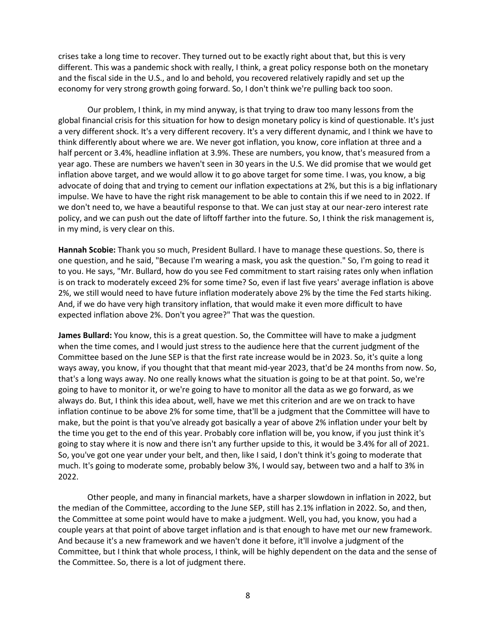crises take a long time to recover. They turned out to be exactly right about that, but this is very different. This was a pandemic shock with really, I think, a great policy response both on the monetary and the fiscal side in the U.S., and lo and behold, you recovered relatively rapidly and set up the economy for very strong growth going forward. So, I don't think we're pulling back too soon.

Our problem, I think, in my mind anyway, is that trying to draw too many lessons from the global financial crisis for this situation for how to design monetary policy is kind of questionable. It's just a very different shock. It's a very different recovery. It's a very different dynamic, and I think we have to think differently about where we are. We never got inflation, you know, core inflation at three and a half percent or 3.4%, headline inflation at 3.9%. These are numbers, you know, that's measured from a year ago. These are numbers we haven't seen in 30 years in the U.S. We did promise that we would get inflation above target, and we would allow it to go above target for some time. I was, you know, a big advocate of doing that and trying to cement our inflation expectations at 2%, but this is a big inflationary impulse. We have to have the right risk management to be able to contain this if we need to in 2022. If we don't need to, we have a beautiful response to that. We can just stay at our near-zero interest rate policy, and we can push out the date of liftoff farther into the future. So, I think the risk management is, in my mind, is very clear on this.

**Hannah Scobie:** Thank you so much, President Bullard. I have to manage these questions. So, there is one question, and he said, "Because I'm wearing a mask, you ask the question." So, I'm going to read it to you. He says, "Mr. Bullard, how do you see Fed commitment to start raising rates only when inflation is on track to moderately exceed 2% for some time? So, even if last five years' average inflation is above 2%, we still would need to have future inflation moderately above 2% by the time the Fed starts hiking. And, if we do have very high transitory inflation, that would make it even more difficult to have expected inflation above 2%. Don't you agree?" That was the question.

**James Bullard:** You know, this is a great question. So, the Committee will have to make a judgment when the time comes, and I would just stress to the audience here that the current judgment of the Committee based on the June SEP is that the first rate increase would be in 2023. So, it's quite a long ways away, you know, if you thought that that meant mid-year 2023, that'd be 24 months from now. So, that's a long ways away. No one really knows what the situation is going to be at that point. So, we're going to have to monitor it, or we're going to have to monitor all the data as we go forward, as we always do. But, I think this idea about, well, have we met this criterion and are we on track to have inflation continue to be above 2% for some time, that'll be a judgment that the Committee will have to make, but the point is that you've already got basically a year of above 2% inflation under your belt by the time you get to the end of this year. Probably core inflation will be, you know, if you just think it's going to stay where it is now and there isn't any further upside to this, it would be 3.4% for all of 2021. So, you've got one year under your belt, and then, like I said, I don't think it's going to moderate that much. It's going to moderate some, probably below 3%, I would say, between two and a half to 3% in 2022.

Other people, and many in financial markets, have a sharper slowdown in inflation in 2022, but the median of the Committee, according to the June SEP, still has 2.1% inflation in 2022. So, and then, the Committee at some point would have to make a judgment. Well, you had, you know, you had a couple years at that point of above target inflation and is that enough to have met our new framework. And because it's a new framework and we haven't done it before, it'll involve a judgment of the Committee, but I think that whole process, I think, will be highly dependent on the data and the sense of the Committee. So, there is a lot of judgment there.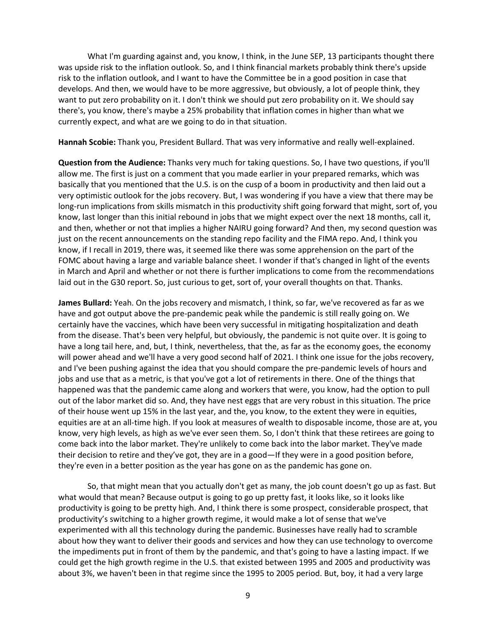What I'm guarding against and, you know, I think, in the June SEP, 13 participants thought there was upside risk to the inflation outlook. So, and I think financial markets probably think there's upside risk to the inflation outlook, and I want to have the Committee be in a good position in case that develops. And then, we would have to be more aggressive, but obviously, a lot of people think, they want to put zero probability on it. I don't think we should put zero probability on it. We should say there's, you know, there's maybe a 25% probability that inflation comes in higher than what we currently expect, and what are we going to do in that situation.

**Hannah Scobie:** Thank you, President Bullard. That was very informative and really well-explained.

**Question from the Audience:** Thanks very much for taking questions. So, I have two questions, if you'll allow me. The first is just on a comment that you made earlier in your prepared remarks, which was basically that you mentioned that the U.S. is on the cusp of a boom in productivity and then laid out a very optimistic outlook for the jobs recovery. But, I was wondering if you have a view that there may be long-run implications from skills mismatch in this productivity shift going forward that might, sort of, you know, last longer than this initial rebound in jobs that we might expect over the next 18 months, call it, and then, whether or not that implies a higher NAIRU going forward? And then, my second question was just on the recent announcements on the standing repo facility and the FIMA repo. And, I think you know, if I recall in 2019, there was, it seemed like there was some apprehension on the part of the FOMC about having a large and variable balance sheet. I wonder if that's changed in light of the events in March and April and whether or not there is further implications to come from the recommendations laid out in the G30 report. So, just curious to get, sort of, your overall thoughts on that. Thanks.

**James Bullard:** Yeah. On the jobs recovery and mismatch, I think, so far, we've recovered as far as we have and got output above the pre-pandemic peak while the pandemic is still really going on. We certainly have the vaccines, which have been very successful in mitigating hospitalization and death from the disease. That's been very helpful, but obviously, the pandemic is not quite over. It is going to have a long tail here, and, but, I think, nevertheless, that the, as far as the economy goes, the economy will power ahead and we'll have a very good second half of 2021. I think one issue for the jobs recovery, and I've been pushing against the idea that you should compare the pre-pandemic levels of hours and jobs and use that as a metric, is that you've got a lot of retirements in there. One of the things that happened was that the pandemic came along and workers that were, you know, had the option to pull out of the labor market did so. And, they have nest eggs that are very robust in this situation. The price of their house went up 15% in the last year, and the, you know, to the extent they were in equities, equities are at an all-time high. If you look at measures of wealth to disposable income, those are at, you know, very high levels, as high as we've ever seen them. So, I don't think that these retirees are going to come back into the labor market. They're unlikely to come back into the labor market. They've made their decision to retire and they've got, they are in a good—If they were in a good position before, they're even in a better position as the year has gone on as the pandemic has gone on.

So, that might mean that you actually don't get as many, the job count doesn't go up as fast. But what would that mean? Because output is going to go up pretty fast, it looks like, so it looks like productivity is going to be pretty high. And, I think there is some prospect, considerable prospect, that productivity's switching to a higher growth regime, it would make a lot of sense that we've experimented with all this technology during the pandemic. Businesses have really had to scramble about how they want to deliver their goods and services and how they can use technology to overcome the impediments put in front of them by the pandemic, and that's going to have a lasting impact. If we could get the high growth regime in the U.S. that existed between 1995 and 2005 and productivity was about 3%, we haven't been in that regime since the 1995 to 2005 period. But, boy, it had a very large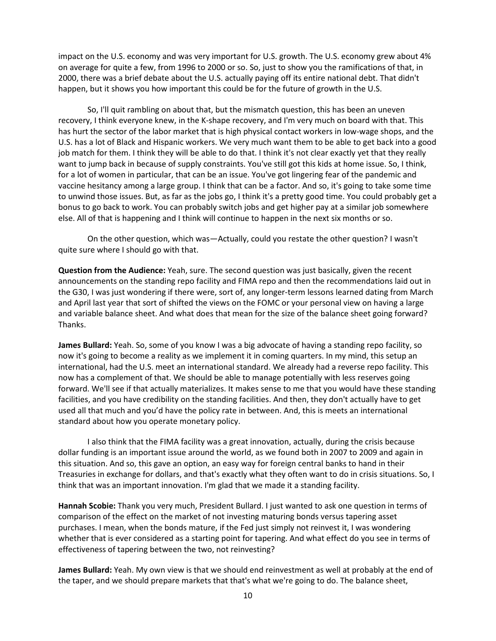impact on the U.S. economy and was very important for U.S. growth. The U.S. economy grew about 4% on average for quite a few, from 1996 to 2000 or so. So, just to show you the ramifications of that, in 2000, there was a brief debate about the U.S. actually paying off its entire national debt. That didn't happen, but it shows you how important this could be for the future of growth in the U.S.

So, I'll quit rambling on about that, but the mismatch question, this has been an uneven recovery, I think everyone knew, in the K-shape recovery, and I'm very much on board with that. This has hurt the sector of the labor market that is high physical contact workers in low-wage shops, and the U.S. has a lot of Black and Hispanic workers. We very much want them to be able to get back into a good job match for them. I think they will be able to do that. I think it's not clear exactly yet that they really want to jump back in because of supply constraints. You've still got this kids at home issue. So, I think, for a lot of women in particular, that can be an issue. You've got lingering fear of the pandemic and vaccine hesitancy among a large group. I think that can be a factor. And so, it's going to take some time to unwind those issues. But, as far as the jobs go, I think it's a pretty good time. You could probably get a bonus to go back to work. You can probably switch jobs and get higher pay at a similar job somewhere else. All of that is happening and I think will continue to happen in the next six months or so.

On the other question, which was—Actually, could you restate the other question? I wasn't quite sure where I should go with that.

**Question from the Audience:** Yeah, sure. The second question was just basically, given the recent announcements on the standing repo facility and FIMA repo and then the recommendations laid out in the G30, I was just wondering if there were, sort of, any longer-term lessons learned dating from March and April last year that sort of shifted the views on the FOMC or your personal view on having a large and variable balance sheet. And what does that mean for the size of the balance sheet going forward? Thanks.

**James Bullard:** Yeah. So, some of you know I was a big advocate of having a standing repo facility, so now it's going to become a reality as we implement it in coming quarters. In my mind, this setup an international, had the U.S. meet an international standard. We already had a reverse repo facility. This now has a complement of that. We should be able to manage potentially with less reserves going forward. We'll see if that actually materializes. It makes sense to me that you would have these standing facilities, and you have credibility on the standing facilities. And then, they don't actually have to get used all that much and you'd have the policy rate in between. And, this is meets an international standard about how you operate monetary policy.

I also think that the FIMA facility was a great innovation, actually, during the crisis because dollar funding is an important issue around the world, as we found both in 2007 to 2009 and again in this situation. And so, this gave an option, an easy way for foreign central banks to hand in their Treasuries in exchange for dollars, and that's exactly what they often want to do in crisis situations. So, I think that was an important innovation. I'm glad that we made it a standing facility.

**Hannah Scobie:** Thank you very much, President Bullard. I just wanted to ask one question in terms of comparison of the effect on the market of not investing maturing bonds versus tapering asset purchases. I mean, when the bonds mature, if the Fed just simply not reinvest it, I was wondering whether that is ever considered as a starting point for tapering. And what effect do you see in terms of effectiveness of tapering between the two, not reinvesting?

**James Bullard:** Yeah. My own view is that we should end reinvestment as well at probably at the end of the taper, and we should prepare markets that that's what we're going to do. The balance sheet,